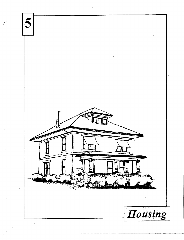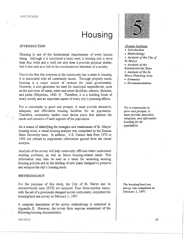# **Housing**

## INTRODUCTION

Housing is one of the fundamental requirements of every human being. Although it is considered a basic need, a housing unit is more than four walls and a roof; not only does it provide physical shelter, but *it* also acts as a link to the socioeconomic elements of a society.

Due to the fact that everyone in the community has a stake in housing, it is associated with all community issues. Through property taxes, housing is a major source of revenue for local governments. However, it also generates the need for municipal expenditures, such as the provision of roads, water and sewer facilities, schools, libraries, and parks (Meyerson, 1962: 4). Therefore, it is a building block of every society and an important aspect of every city's planning efforts.

For a community to grow and prosper, it must provide attractive, adequate, and affordable housing facilities for its population. Therefore, community leaders must devise plans that address the needs and concerns of each segment of the population.

As a means of identifying the strengths .and weaknesses of St. Marys' housing stock, a visual housing analysis was completed by the Kansas State University team. In addition, U.S. Census data from 1970 to 1990 are utilized to supplement information gained from the visual analysis.

Analysis of the survey will help community officials better understand existing problems, as well as future housing-related needs. This information may then be used as a basis for amending existing housing policies and in the drafting of new plans designed to preserve and enhance the city's housing stock.

## METHODOLOGY

For the purposes of this study, the City of St. Marys and its extraterritorial zone (ETZ) are analyzed. Four three-member teams, with the aid of a previously designed survey instrument, completed the housing/land use survey on February 1, 1997.

A complete description of the survey methodology is contained in Appendix E. However, the survey form requires assessment of the following housing characteristics:



# *Chapter Sections:*

- *Introduction*
- *Methodology*
- *Analysis of the City of St. Marys*
- *Analysis of the*
- *Extraterritorial Zone*
- *Analysis of the St.*
- *Marys Planning Area*
- *Summary*
- *Recommendations*

*For a community to*  grow *and prosper,* it *must provide attractive, adequate, and affordable housing for its population.* 

 $\checkmark$ 

*The housing/land use survey was completed on February* l, *1997.* 

*JJOl.'SISG*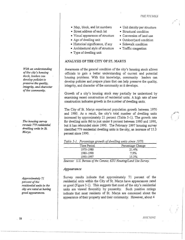/'I.IE SH.'!Jfl:.'S

- Map, block, and lot numbers Unit density per structure
- Street address of each lot Structural condition
- Visual appearance of structure Conversion of land use
- Age of dwelling unit Outdoor/yard condition
- Historical significance, if any Sidewalk condition
- Architectural style of structure Traffic congestion
- Type of dwelling unit

# ANALYSIS OF THE CITY OF ST. MARYS

Awareness of the general condition of the city's housing stock allows officials to gain a better understanding of current and potential housing problems. With this knowledge, community leaders can develop policies and prepare plans that can help preserve the quality, integrity, and character of the community as it develops.

Growth of a city's housing stock may partially be understood by examining recent construction of residential units. A high rate of new construction indicates growth in the number of dwelling units.

The City of St. Marys experienced population growth between 1970 and 1980. As a result, the city's total number of dwelling units increased by approximately 21 percent (Table 5-1). The growth rate for dwelling units fell to just under 8 percent between 1980 and 1990, but it has rebounded since 1990. The February 1997 housing survey identified 779 residential dwelling units in the city, an increase of 15.3 percent since 1990.

|  | Table 5-1. Percentage growth of dwelling units since 1970. |  |  |  |  |  |
|--|------------------------------------------------------------|--|--|--|--|--|
|--|------------------------------------------------------------|--|--|--|--|--|

|   | Time Period         | Percentage Change               |
|---|---------------------|---------------------------------|
|   | 1970-1980           | 21.4%                           |
|   | 1980-1990           | $7.9\%$                         |
|   | 1990-1997           | 15.3%                           |
| - | -<br>$\sim$<br>---- | -------<br>-<br>$\sim$<br>- - - |

*Sources: U.S. Bureau of the Census; KSU Housing/Land Use Survey.* 

## *Appearance*

Survey results indicate that approximately 71 percent of the residential units within the City of St. Marys have appearances rated as good (Figure 5-1). This suggests that most of the city's residential units are viewed favorably by passersby. Such positive ratings indicate that most residents of St. Marys are concerned about the appearance of their property and their community. However, about 4

*With an understanding of the city's housing stock, leaders can develop policies to preserve the quality, integrity, and character of the community.* 

*The housing survey reveals 779 residential dwelling units in St. Marys.* 

*Approximately 71 percent of the residential units in the city are rated as having good appearances.* 

/ \.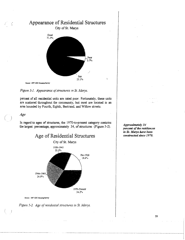





percent of all residential units are rated poor. Fortunately, these units are scattered throughout the community, but most are located in an area bounded by Fourth, Eighth, Bertrand, and Willow streets.

### Age

ŕ,

In regard to ages of structures, the 1970-to-present category contains the largest percentage, approximately 34, of structures (Figure 5-2).



Source: 1997 KSU Housing Survey



Approximately 34 percent of the residences in St. Marys have been constructed since 1970.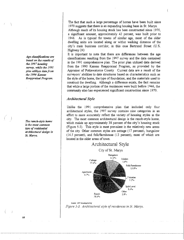The fact that such. a large percentage of homes have been built since 1970 suggests that there is an expanding housing base in St. Marys.

Although much of its housing stock has been constructed since 1970, a significant amount, approximately 42 percent, was built prior to 1946. As is typical for towns of similar age, most of the older dwelling units are located along or withm walking distance of the city's main business corridor, in this case Bertrand Street (U.S. Highway 24)

It is important to note that there are differences between the age classifications resulting from the 1997 survey and the data contained in the 1991 comprehensive plan. The prior plan utilized data derived from the 1990 Kansas Reappraisal Program, as provided by the Appraiser of Pottawatomie County Current data are a result of the surveyors' abilities to date structures based on characteristics such as the style of the home, the type of foundation, and the materials used to construct the dwelling. Although. a difference exists, the fact remains that while a large *portion* of the residences were built before 1 Q46, the community also has experienced significant construction since 1970.

# *Architectural Style*

Unlike the 1991 comprehensive plan that included only four architectural styles, the 1997 survey contains nine categories in an effort to more accurately reflect the variety of housing styles m the city. The most common architectural design is the ranch-style home, which makes up approximately 38 percent of the city's housing stock (Figure 5-3). TI1is style is most prevalent in the relatively new areas of the city Other common styles are cottage (17 percent), bungalow (14.5 percent), and folk/farmhouse (13 percent), most of which are located in the older areas of town.



Source<sup>.</sup> 1997 Housing Survey Figure 5-3. Architectural style of residences in St. Marys.

*Age classifications are based on the results of the 1997 housing survey, while the 1991 plan utilizes data from the 199() Kansas Reappraisal Program.* 

*The ranch-style home i.s the most common type of residential architectural design in St. Marys.*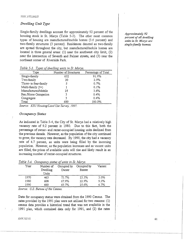# *Dwelling Unit Type*

Single-family dwellings account for approximately 92 percent of the housing stock in St. Marys (Table 5-3). The other most common types of housing are manufactured/mobile homes (3.6 percent) and two-family structures (3 percent). Residences denoted as two-family are spread throughout the city, but manufactured/mobile homes are located in three general areas: (1) near the southwest city limit, (2) near the intersection of Seventh and Palmer streets, and (3) near the northeast corner of Riverside Park.

| Type                  | Number of Structures | Percentage of Total |
|-----------------------|----------------------|---------------------|
| Single-family         | 632                  | 91.9%               |
| Two-family            | 20                   | 2.9%                |
| Three- to four-family | 5                    | 0.7%                |
| Multi-family (5+)     |                      | 0.1%                |
| Manufactured/Mobile   | 25                   | 3.6%                |
| Res./Home Occupation  | 3                    | 0.4%                |
| Congregate            | 3                    | 0.4%                |
| Total                 | 689                  | 100.0%              |

*Table 5-3. Types of dwelling units in St. Marys.* 

*Source: KSU Housing/Land Use Survey, 1997.* 

# *Occupancy Status*

As indicated in Table 5-4, the City of St. Marys had a relatively high vacancy rate of 9.2 percent in 1980. Due to this fact, both the percentage of owner- and renter-occupied housing units declined from the previous decade. However, as the population of the city continued to grow, the vacancy rate decreased. By 1990, the city had a vacancy rate of 4.7 percent, as units were being filled by the incoming population. However, as the population increases and as vacant units are filled, the prices of available units will rise and likely result in an increasing number of renter-occupied structures.

| Table 5-4. Occupancy status of units in St. Marys. |  |
|----------------------------------------------------|--|
|----------------------------------------------------|--|

| Year | Number of<br>Dwelling<br>Units | Occupied by<br>Owner | Occupied by<br>Renter | Vacant |
|------|--------------------------------|----------------------|-----------------------|--------|
| 1970 | 463                            | 73.7%                | 23.3%                 | 3.0%   |
| 1980 | 608                            | 67.9%                | 22.9%                 | 9.2%   |
| 1990 | 660                            | 69.7%                | 25.6%                 | 4.7%   |

*Source:* U.S. *Bureau of the Census.* 

Data for occupancy status were obtained from the 1990 Census. The rates provided by the 1991 plan were not utilized for two reasons: (1) census data provides a historical trend that was not available in the 1991 plan, which contained data only for 1991, and '(2) the rates

# *Approximately 92 percent of all dwelling units in St. Marys are single-family homes.*

*II Ol .. 'SJ.\"G*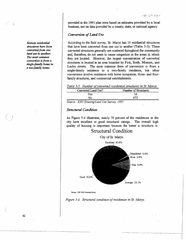provided in the 1991 plan were based on estimates provided by a local business, not on data provided by a county, state, or national agency.

# *Conversion of Land Use*

According to the field survey, St. Marys has 16 residential structures that have been converted from one use to another (Table 5-5). These converted structures generally are scattered throughout the community and, therefore, do not seem to cause congestion in the areas in which they are located. However, the largest concentration of converted structures is located in an area bounded by First, Sixth, Mission, and Lasley streets. The most common form of conversion is from a single-family residence to a two-family residence, but other conversions involve residences with home occupation, three- and fourfamily structures, and commercial establishments.

|  |  | Table 5-5. Number of converted residential structures in St. Marys. |
|--|--|---------------------------------------------------------------------|
|  |  |                                                                     |

| Converted Land Use?                                                                                                                                                                     | Number of Structures |
|-----------------------------------------------------------------------------------------------------------------------------------------------------------------------------------------|----------------------|
| Yes                                                                                                                                                                                     | 16                   |
| N٥                                                                                                                                                                                      | 673                  |
| taxtweetnometry-many-rannometry-many-rannometry-rannometry-rannometry-rannometry-many-rannometry-many-rannometry-rannometry-rannometry-<br>Source: KSII Housing/I and I lse Survey 1997 |                      |

*Source: KSU Housing/Land Use Survey, 1997.* 

#### *Structural Condition*

As Figure 5-4 illustrates, nearly 70 percent of the residences in the city have excellent or good structural ratings. The overall high quality of housing is important because the better a structure is



Souroo: 1997 KSU Housing Survoy



*Sixteen residential structures have been converted from one land use to another. The most common conversion is from a single-family home to a two-family home.*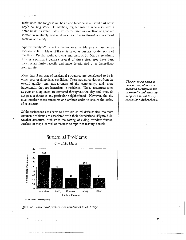#### ·.' . *•:*

maintained, the longer it will be able to function as a useful part of the city's housing stock. In addition, regular maintenance also helps a home retain its value. Most structures rated as excellent or good are located in relatively new subdivisions in the southwest and northeast sections of the city.

Approximately 27 percent of the homes in St. Marys are classified as average or fair. Many of the units rated as fair are located north of the Union Pacific Railroad tracks and west of St. Mary's Academy. This is significant because several of these structures have been constructed fairly recently and have deteriorated at a faster-thannormal rate.

More than 3 percent of residential structures are considered to be in either poor or dilapidated condition. These structures detract from the overall quality and attractiveness of the community, and, more importantly, they are hazardous to residents. Those structures rated as poor or dilapidated are scattered throughout the city and, thus, do not pose a threat to any particular neighborhood. However, the city must monitor these structures and enforce codes to ensure the safety of its citizens.

Of the residences considered to have structural deficiencies, the most common problems are associated with their foundations (Figure 5-5). Another structural problem is the rotting of siding, window frames, porches, or steps, as well as the need to repair or reshingle roofs.



*Figure 5-5. Stnwtural problems of residences in St. Mqrys.* 

4187181

*The structures rated as poor or dilapidated are scattered throughout the community and, thus, do not pose a threat to any particular neighborhood.*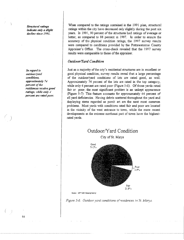Structural ratings *indicate only* **a** *slight decline since 1991.* 

*In regard to outdoor/yard conditions, approximately* J.I *percent of the residences recefre good ratings, while only 4 percent are rated poor.* 

*/* 

64

When compared to the ratings contained in the 1991 plan, structural ratings within the city have decreased only slightly during the past six years. In 1991, 90 percent of the structures had ratings of average or better, as compared to 88 percent m 1997. In order to ensure the accuracy of the physical condition ratings, the 1997 survey results were compared to conditions provided by the Pottawatomie County Appraiser's Office. The cross-check revealed that the 1997 survey results were comparable to those of the appraiser.

# *Outdoor/Yard Condition*

Just as a majority of the city's residential structures are in excellent or good physical condition, sunrey results reveal that a large percentage of the outdoor/yard condrtions of lots are rated good, as well. Approximately 74 percent of the lots are rated in the top category, while only 4 percent are rated poor (Figure 5-6). Of those yards rated fair or poor, the most significant problem is an unkept appearance (Figure 5-7) This feature accounts for approxunately 44 percent of all yard deficiencies. Having debris scattered throughout the yard and displaying rtems regarded as porch *art* are the next most common problems. Most yards with conditions rated fair and poor are located in the vicinity of the west entrance to town, while the more recent developments m the extreme northeast part of town have the highestrated yards.



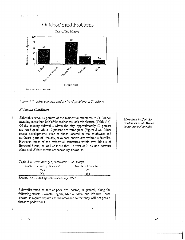$\lambda$ 





# *Sidewalk Condition*

Sidewalks serve 43 percent of the residential structures in St. Marys, meaning more than half of the residences lack this feature (Table 5-6). Of the existing sidewalks within the city, approximately 52 percent are rated good, while 12 percent are rated poor (Figure 5-8). More recent developments, such as those located in the southwest and northeast parts of the city, have been constructed without sidewalks. However, most of the residential structures within two blocks of Bertrand Street, as well as those that lie west of K-63 and between Alma and Walnut streets are served by sidewalks.

*Table 5-6. Availability of sidewalks in St. Marys.* 

| Structure Served by Sidewalk? | Number of Structures |
|-------------------------------|----------------------|
| Yes                           | 296                  |
| N٥                            | 393                  |

*Source: KSU Housing/Land Use Survey, 1997.* 

·;· .. · .· ......

Sidewalks rated as fair or poor are located, in general, along the following streets: Seventh, Eighth, Maple, Alma, and Walnut. These sidewalks require repairs and maintenance so that they will not pose a threat to pedestrians.

*More than half of the residences in St. Marys do not have sidewalks.*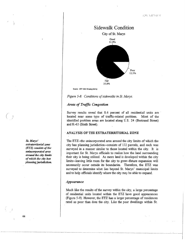

Souroe: 1997 KSU Housing Survey

*Figure 5-8. Conditions of sidewalks in St. Marys.* 

# *Areas of Traffic Congestion*

Survey results reveal that 8.6 percent of all residential units are located near some type of traffic-related problem. Most of the identified problem areas are located along U.S. 24 (Bertrand Street) and K-63 (Sixth Street).

## · ANAJLYSIS OF THE EXTRATERRITORIAL ZONE

The ETZ--the unincorporated area around the city limits of which the city has planning jurisdiction--consists of 132 parcels, and each was surveyed in a manner similar to those located within the city. It is important for St. Marys officials to realize how the land surrounding their city is being utilized. As more land is developed within the city lirnits--leaving little room for the city to grow--future expansion will necessarily occur outside its boundaries. Therefore, the ETZ was surveyed to determine what lies beyond St. Marys' municipal limits and to help officials identify where the city may be able to expand.

#### *Appearance*

Much like the results of the survey within the city, a large percentage of residential units located within the ETZ have good appearances (Figure 5-9). However, the ETZ has a larger percentage of residences rated as poor than does the city. Like the poor dwellings within St.

*St. Marys' extraterritorial zone*  (ETZ) *consists of tlze unincorporated area around the city limits of whiclz the city has planning jurisdiction.* 

66

*/*   $\langle \quad \rangle$  $\vert$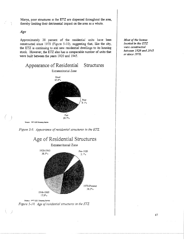Marys, poor structures in the ETZ are dispersed throughout the area, thereby limiting their detrimental impact on the area as a whole.

Age

Approximately 38 percent of the residential units have been constructed since 1970 (Figure 5-10), suggesting that, like the city, the ETZ is continuing to add new residential dwellings to its housing stock. However, the ETZ also has a comparable number of units that were built between the years 1920 and 1945.







Source 1997 KSU Housing Survey Figure 5-10. Age of residential structures in the ETZ

Most of the homes located in the ETZ were constructed between 1920 and 1945 or since 1970.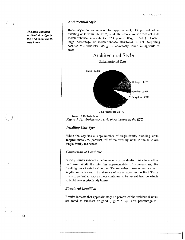# *Architectural Style*

Ranch-style homes account for approximately 47 percent of all dwelling units within the ETZ, while the second most prevalent style, folk/farmhouse, accounts for 32.4 percent (Figure 5-11). Such a large percentage of folk/farmhouse structures is not surprising because this residential design is commonly found in agricultural areas.



*Figure 5-11. Architectural style of residences* in *the ETZ.* 

# *Dwelling Unit Type*

While the city has a large number of single-family dwelling units (approximately 92 percent), *all* of the dwelling units in the ETZ are single-family residences.

# *Conversion of Land Use*

Survey results indicate no conversions of residential units to another land use. While the city has approximately 16 conversions, the dwelling units located within the ETZ are either farmhouses or small single-family homes. This absence of conversions within the ETZ is likely to persist as long as there continues to be vacant land on which to build new single-family homes.

# *Structural Condition*

Results indicate that approximately 66 percent of the residential units are rated as excellent or good (Figure 5-12). This percentage is

*The most common residential design in*  the ETZ is the ranchstyle *home*.

) /

 $( \ )$ ,/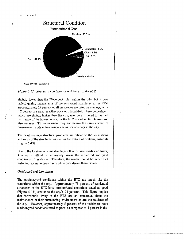

Source: 1997 KSU Housing Survey

#### *Figure 5-12. Structural condition of residences in the ETZ.*

slightly lower than the 70-percent total within the city, but it does reflect quality maintenance of the residential structures in the ETZ. Approximately 29 percent of all residences are rated as average, while 5.2 percent are rated as either poor or dilapidated. These percentages, which are slightly higher than the city, may be attributed to the fact that many of the homes located in the ETZ are older farmhouses and also because ETZ homeowners may not receive the same amount of pressure to maintain their residences as homeowners in the city.

The most common structural problems are related to the foundations and roofs of the structures, as well as the rotting of building materials (Figure 5-13).

Due to the location of some dwellings off of private roads and drives, it often is difficult to accurately assess the structural and yard conditions of residences. Therefore, the reader should be mindful of restricted access to these tracts while considering these ratings.

# *Outdoor/Yard Condition*

)

The outdoor/yard conditions within the ETZ are much lilce the conditions within the city. Approximately 73 percent of residential structures in the ETZ have outdoor/yard conditions rated as good (Figure 5-14), similar to the city's 74 percent. This figure implies that individuals living in the ETZ are as concerned about the maintenance of their surrounding environment as are the residents of the city. However, approximately 5 percent of the residences have outdoor/yard conditions rated as poor, as compares to 4 percent in the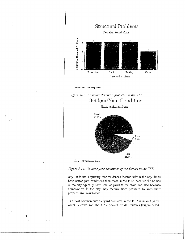

Source 1997 KSU Housing Survey



Extraterritorial Zone



Figure 5-14. Outdoor yard conditions of residences in the ETZ.

city. It is not surprising that residences located within the city limits have better yard conditions than those in the ETZ because the homes in the city typically have smaller yards to maintain and also because homeowners in the city may receive more pressure to keep their property well maintained.

The most common outdoor/yard problems in the ETZ is unkept yards. which account for about 54 percent of all problems (Figure 5-15).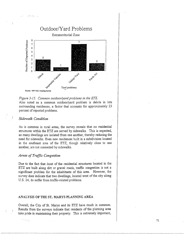

#### *Figure 5-15. Common outdoor/yard problems in the ETZ.*

Also noted as a common outdoor/yard problem is debris in lots surrounding residences, a factor that accounts for approximately 23 percent of reported problems.

# *Sidewalk Condition*

As is common in rural areas, the survey reveals that no residential structures within the ETZ are served by sidewalks. This is expected, as many dwellings are isolated from one another, thereby reducing the need for sidewalks. Even new residences built in a subdivision located in the southeast area of the ETZ, though relatively close to one another, are not connected by sidewalks.

## *Areas of Traffic Congestion*

 $\mathcal{O}(\sqrt{N})$ 

Due fo the fact that most of the residential structures located in the ETZ are built along dirt or gravel roads, traffic congestion is not a significant problem for the inhabitants of this area. However, the survey does indicate that two dwellings, located west of the city along U.S. 24, do suffer from traffic-related problems.

#### ANALYSIS OF THE ST. MARYS PLANNING AREA

Overall, the City of St. Marys and its ETZ have much in common. Results from the surveys indicate that residents of the planning area take pride in maintaining their property. This is extremely important,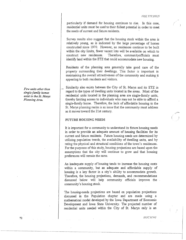particularly if demand for housing continues to rise. In this case, residential units must be used to their fullest potential in order to meet the needs of current and future residents.

Survey results also suggest that the housing stock within the area is relatively young, as is indicated by the large percentage of homes constructed since 1970. However, as residences continue to be built within the city limits, fewer vacant lots will be available on which to construct new residences. Therefore, community officials must Therefore, communityofficials must identify land within the ETZ that could accommodate new housing.

Residents of the planning area generally take good care of the property surrounding their dwellings. This factor is important in maintaining the overall attractiveness of the community and making it appealing to both residents and visitors.

Similarity also exists between the City of St. Marys and its ETZ in regard to the types of dwelling units located in the areas. Most of the residential units located in the planning area are single-family units, thereby limiting access to individuals who may not be able to afford a single-family home. Therefore, the lack of affordable housing ·in the St. Marys planning realm is an issue that the community must address as it moves toward the 21st century.

#### FUTURE HOUSING NEEDS

It is important for a community to understand its future housing needs in order to provide an adequate amount of housing facilities for its current and future residents. Future housing needs are determined by utilizing population trends, the availability of dwelling units, and by rating the physical and structural conditions of the town's residences. For the purposes of this study, housing projections are based upon the assumptions that the city will continue to grow and that housing preferences will remain the same.

An inadequate supply of housing tends to increase the housing costs within a community, but an adequate and affordable supply of housing is a key factor in a city's ability to accommodate growth. Therefore, the housing projections, demands, and recommendations discussed below will help community officials improve the community's housing stock.

The housing-needs projections are based on population projections discussed in the Population chapter and are made using a mathematical model developed by the Iowa Department of Economic Development and Iowa State University. The projected number of residential units needed within the City of St. Marys only is an

Few units other than *single-family homes e.x:ist in the St. Marys Planning Area.* 

72

 $HOLSING$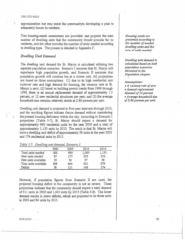#### THE STUDLES

approximation but may assist the communityin developing a plan to adequately house its residents.

Two housing-needs assessments are provided: one projects the total number of dwelling units that the community should provide for its residents, and the other provides the number of units needed according to dwelling type. The process is detailed in Appendix F.

# *Dwelling Unit Demand*

The dwelling unit demand for St. Marys is calculated utilizing two separate population scenarios: Scenario I assumes that St. Marys will experience high population growth, and Scenario II assumes that population growth will continue but at a slower rate. All projections are based on three assumptions: (1) due to its high residential unit turnover rate and high demand for housing, the vacancy rate in St. Marys is zero; (2) based on building permit trends from 1989 through 1996, there is an annual replacement demand of approximately 1.5 percent, or 12 new residential structures per year; and (3) the average household size remains relatively stable at 2.86 persons per unit.

Dwelling unit demand is projected at five-year intervals through 2015, and the resulting figures indicate future demand without considering the present housing deficiency within the city. According to Scenario I projections (Table 5-7), St. Marys should expect a demand for approximately 860 residential units by the year 2000 and a total of approximately 1,150 units by 2015. The result is that St. Marys will have a dwelling unit deficit of approximately 58 units in the year 2000 and 174 residential units by 2015.

| Table 5-7.  Dwelling unit demand, Scenario I. |  |  |  |
|-----------------------------------------------|--|--|--|
|                                               |  |  |  |
|                                               |  |  |  |

|                       | 2000 | 2005 | 2010  | 2015  |
|-----------------------|------|------|-------|-------|
| Total units needed    | 866  | 985  | 1,069 | 1,153 |
| New units needed      | 87   | 177  | 205   | 232   |
| New units available   | 29   | 56   | 57    | 58    |
| Total units available | 808  | 864  | 921   | 979   |
| Deficit               | 58   | 121  | 148   | 174   |

However, if population figures from Scenario II are used, the projected housing deficit in the community is not as severe. These projections indicate that the community should expect a total demand of 811 units in 2000 and 1,063 units by 2015 (Table 5-8). The lower demand results in lower deficits, which are projected to be three units in 2000 and 84 units by 2015.

*Housing needs are presented according to the number of needed dwelling units and the*  tyne, of units *needed*.

*Dwelling unit demand is calculated based on both population scenarios discussed in the Population chapter.* 

*Assumptions:* 

• *A vacancy rate of zero*  • *Annual replacement demand of 15 percent*  • *Average household size of 2. 86 persons per unit*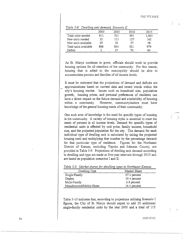|                       | 2000 | 2005 | 2010 | 2015  |
|-----------------------|------|------|------|-------|
| Total units needed    | 811  | 921  | 991  | 1,063 |
| New units needed      | 32   | 113  | 127  | 142   |
| New units available   | 29   | 56   | 57   | 58    |
| Total units available | 808  | 864  | 921  | 979   |
| Deficit               |      | 57   | 70   | 84    |

*Table 5-8. Dwelling unit demand, Scenario JI.* 

As St. Marys continues to grow, officials should work to provide housing options for all members of the community. For this reason, housing that is added to the municipality should be able to accommodate persons and families of all income levels.

It must be reiterated that the projections of demand and deficits are approximations based on current data and recent trends within the city's housing market. Issues such as household size, population growth, housing prices, and personal preferences of residents can have a direct impact on the future demand and availability of housing... within a community. However, communityleaders must have knowledge of the general housing needs of their community.

One such area of knowledge is the need for specific types of housing in the community. A variety of housing styles is essential to meet the needs of persons in all income levels. Demand for specific types of residential units *is* affected by unit price, family income, household size, and the projected population for the city. The demand for each individual type of dwelling unit is calculated by taking the projected housing need and multiplying that number by the percentage demand for that particular type of residence. Figures for the Northeast District of Kansas, excluding Topeka and Johnson County, are provided in Table 5-9. Projections of dwelling unit demand according to dwelling unit type are made at five-year intervals through 2015 and are based on population scenarios I and II.

| Dwelling Type            | Market Share |
|--------------------------|--------------|
| Single-Family            | 67.4 percent |
| Duplex                   | 10.4 percent |
| Multi-Family             | 6.8 percent  |
| Manufactured/Mobile Home | 14.4 percent |

*Table 5-9. Market shares for dwelling types in Northeast Kansas.* 

Table 5-10 indicates that, according to projections utilizing Scenario I figures, the City of St. Marys should expect to add 20 additional single-family residential units by the year 2000 and a total of 115

7-1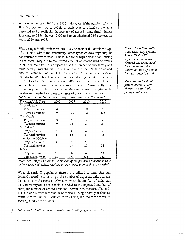#### rm·: sn:'DffS

more units between 2000 and 2015. However, if the number of units that the city will be in deficit in each year is added to the units expected to be available, the number of needed single-family homes increases to 56 by the year 2000 and to an additional 156 between the years 2010 and 2015.

While single-family residences are likely to remain the dominant type of unit built within the community, other types of dwellings may be constructed at faster rates. This is due to the high demand for housing in the community and to the limited amount of vacant land on which to build in the city. It is projected that the number of two-family and multi-family units that will be available in the year 2000 (three and two, respectively) will double by the year 2015, while the number of manufactured/mobile homes will increase at a higher rate, four units by 2000 and a total of nine between 2000 and 2015. When deficits are included, these figures are even higher. Consequently, the communityshould plan to accommodate alternatives to single-family residences in order to address the needs of the entire community. *Table 5-10. Unit demand according to dwelling type, Scenario I.* 

| rable 5-10. Onli demand according to awelling type, Scendrio 1. |      |      |      |      |
|-----------------------------------------------------------------|------|------|------|------|
| Dwelling Unit Type                                              | 2000 | 2005 | 2010 | 2015 |
| Single-family                                                   |      |      |      |      |
| Projected number                                                | 20   | 38   | 38   | 39   |
| Targeted number                                                 | 59   | 120  | 138  | 156  |
| Two-family                                                      |      |      |      |      |
| Projected number                                                | 3    | 6    | 6    | 6    |
| Targeted number                                                 | 9    | 18   | 21   | 24   |
| Multi-family                                                    |      |      |      |      |
| Projected number                                                | 2    | 4    | 4    | 4    |
| Targeted number                                                 | 6    | 12   | 14   | 16   |
| Manufactured/Mobile                                             |      |      |      |      |
| Projected number                                                | 4    | 8    | 9    | 9    |
| Targeted number                                                 | 13   | 27   | 32   | 36   |
| Totals                                                          |      |      |      |      |
| Projected number                                                | 29   | 56   | 57   | 58   |
| Targeted number                                                 | 87   | 177  | 205  | 232  |

*Note: The "targeted number" is the sum of the projected number of units and the projected deficit, resulting in the number of units that are needed* 

When Scenario II population factors are utilized to determine unit demand according to unit type, the number of expected units remains the same as in Scenario I. However, when the number of units that the communitywill be in deficit is added to the expected number of units, the number of needed units will continue to increase (Table 5- 11), but at a slower rate than in Scenario I. Single-family residences continue to remain the dominant form of unit, but the other forms of housing grow at faster rates.

*Table 5-11. Unit demand according to dwelling type, Scenario II.* 

*Types of dwelling units other than single-family homes likely will experience increased demand due to the need for housing and the limited amount of vacant land on which to build.* 

*The community should plan to accommodate alternatives to singlefamily residences.* 

!10CSJ.V(;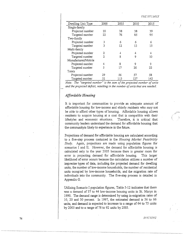n.1.r::sn:Dn·s

I  $\tilde{I}$ 

| Dwelling Unit Type  | 2000 | 2005 | 2010 | $-2015$ |
|---------------------|------|------|------|---------|
| Single-family       |      |      |      |         |
| Projected number    | 20   | 38   | 38   | 39      |
| Targeted number     | 22   | 76   | 85   | 95      |
| Two-family          |      |      |      |         |
| Projected number    | 3    | 6    | 6    | 6       |
| Targeted number     | 3    | 12   | 13   | 15      |
| Multi-family        |      |      |      |         |
| Projected number    | 2    | 4    | 4    | 4       |
| Targeted number     | 2    | 8    | 9    | 10      |
| Manufactured/Mobile |      |      |      |         |
| Projected number    | 4    | 8    | 9    | 9       |
| Targeted number     | 5    | 17   | 20   | 22      |
| Totals              |      |      |      |         |
| Projected number    | 29   | 56   | 57   | 58      |
| Targeted number     | 32   | 113  | 127  | 142     |

*Note: The "targeted number" is the sum of the projected number of units and the projected deficit, resulting in the number of units that are needed.* 

# *Affordable Housing*

It is important for communities to provide an adequate amount of affordable housing for low-income and elderly residents who maynot be able to afford other types of housing. Affordable housing allows residents to acquire housing at a cost that is compatible with their lifestyles and economic situations. Therefore, it is critical that community leaders understand the demand for affordable housing that the communityis likely to experience in the future.

Projections of demand for affordable housing are calculated according to a five-step process contained in the *Housing Market Feasibility Study.* Again, projections are made using population figures for scenarios I and II. However, the demand for affordable housing is calculated only to the year 2005 because there is greater room for error in projecting demand for affordable housing. This larger likelihood of error occurs because the calculation utilizes a number of imprecise types of data, including the projected demand for dwelling units, the number of low-income households, the number of residential units occupied by low-income households, and the migration rate of individuals into the community. The five-step process is detailed in Appendix G.

Utilizing Scenario I population figures, Table 5-12 indicates that there was a demand of 37 to 44 low-income housing units in St. Marys in 1990. The demand range is determined by using in-migration rates of 10, 20 and 30 percent. In 1997, the estimated demand is 56 to 66 units, and demand is expected to increase to a range of 64 to 75 units by 2000 and to a range of 78 to 92 units by 2005.

 $HOLSING$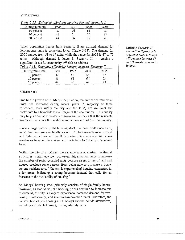'J'JTl:STL'l.JfES

*Table 5-12. Estimated affordable housing demand, Scenario* I.

| In-migration rate | !990 | -997 | 2000 | 2005 |
|-------------------|------|------|------|------|
| 10 percent        | 37   | 56   | 64   |      |
| 20 percent        | 41   | 6 1  |      | 85   |
| 30 percent        | 44   | 66   |      |      |

When population figures from Scenario II are utilized, demand for low-income units is somewhat lower (Table 5-13). The demand for 2000 ranges from 58 to 69 units, while the range for 2005 is 67 to 79 units. Although demand is lower in Scenario II, it remains a significant issue for community officials to address.

| . . <i>.</i><br>$1.5.$ Let $1.7.$ The state of $1.7.$ The state of $1.7.$ The state $1.7.$ The state of $1.7.$ |      |     |      |      |
|----------------------------------------------------------------------------------------------------------------|------|-----|------|------|
| In-migration rate                                                                                              | 1990 | 997 | 2000 | 2005 |
| 10 percent                                                                                                     | 37   | Эh  |      |      |
| 20 percent                                                                                                     | 41   |     | 64   |      |
| 30 percent                                                                                                     | 44   | 66  | 65   |      |

*Table 5-13. Estimated affordable housing demand, Scenario II.* 

## **SUMMARY**

Due to the growth of St. Marys' population, the number of residential units has increased during recent years. A majority of these residences, both within the city and the ETZ, are well-kept and contribute to a favorable visual image of the community. This quality may help attract new residents to town and indicates that the residents are concerned about the condition and appearance of their community.

Since a large portion of the housing stock has been built since 1970, most dwellings are structurally sound. Routine maintenance of these and older structures will result in longer life spans and will allow residences to retain their value and contribute to the city's economic base.

Within the city of St. Marys, the vacancy rate of existing residential structures is relatively low. However, this situation tends to increase the number of renter-occupied units because rising prices of land and houses preclude some persons from being able to purchase a home. As one resident says, "[the city is experiencing] housing congestion in older areas, indicating a strong housing demand that calls for an increase in the availability of housing."

St. Marys' housing stock primarily consists of single-family homes. However, as land values and housing prices continue to increase due to demand, the city is likely to experience increased demand for twofamily, multi-family, and manufactured/mobile units. Therefore, the construction of new housing in St. Marys should include alternatives, including affordable housing, to single-family units.

*Utilizing Scenario II population figures, it is projected that St. Marys will require between 67 and 79 low-income units by 2005.*